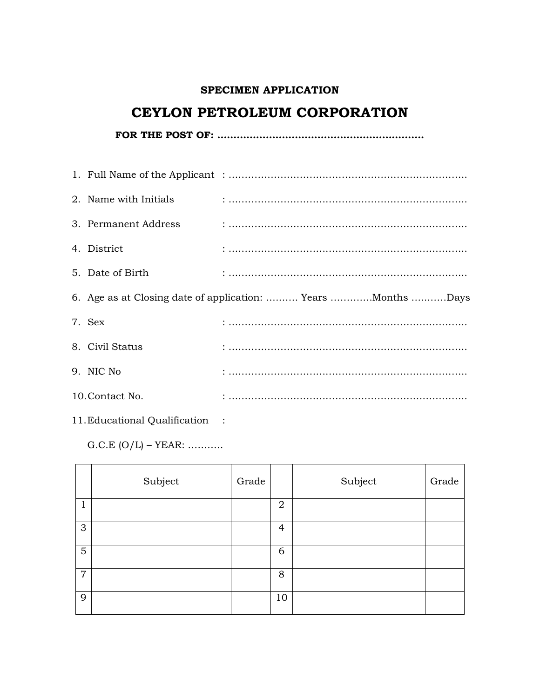### **SPECIMEN APPLICATION**

# **CEYLON PETROLEUM CORPORATION**

**FOR THE POST OF: ……………………………………………………….**

| 2. Name with Initials |                                                              |
|-----------------------|--------------------------------------------------------------|
| 3. Permanent Address  |                                                              |
| 4. District           |                                                              |
| 5. Date of Birth      |                                                              |
|                       | 6. Age as at Closing date of application:  Years Months Days |
| 7. Sex                |                                                              |
| 8. Civil Status       |                                                              |
| 9. NIC No.            |                                                              |
| 10. Contact No.       |                                                              |

11.Educational Qualification :

 $G.C.E (O/L) - YEAR: … … …$ 

|                | Subject | Grade |                | Subject | Grade |
|----------------|---------|-------|----------------|---------|-------|
| $\mathbf{1}$   |         |       | $\overline{2}$ |         |       |
| 3              |         |       | 4              |         |       |
| $\sqrt{5}$     |         |       | 6              |         |       |
| $\overline{7}$ |         |       | 8              |         |       |
| 9              |         |       | 10             |         |       |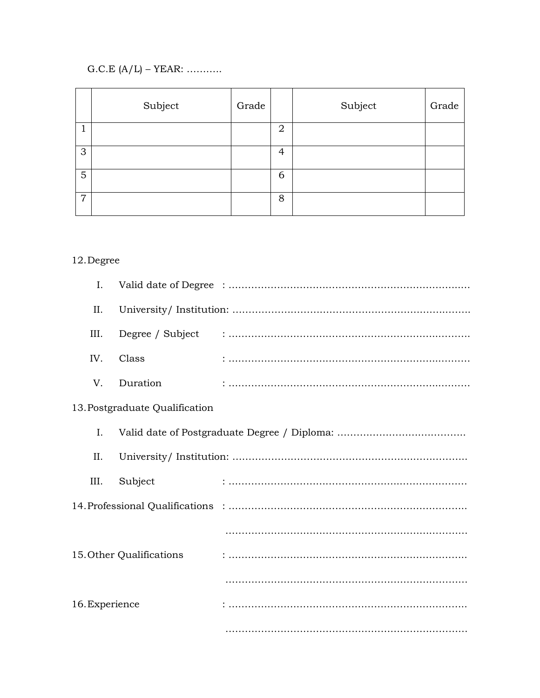## G.C.E  $(A/L)$  – YEAR: …………

|                | Subject | Grade |                | Subject | Grade |
|----------------|---------|-------|----------------|---------|-------|
| 1              |         |       | 2              |         |       |
| 3              |         |       | $\overline{4}$ |         |       |
| $\overline{5}$ |         |       | 6              |         |       |
| $\overline{7}$ |         |       | 8              |         |       |

## 12.Degree

| Ι.             |                                |  |
|----------------|--------------------------------|--|
| II.            |                                |  |
| III.           |                                |  |
| IV.            | Class                          |  |
| V.             | Duration                       |  |
|                | 13. Postgraduate Qualification |  |
| Ι.             |                                |  |
| II.            |                                |  |
| III.           | Subject                        |  |
|                |                                |  |
|                |                                |  |
|                | 15. Other Qualifications       |  |
|                |                                |  |
| 16. Experience |                                |  |
|                |                                |  |